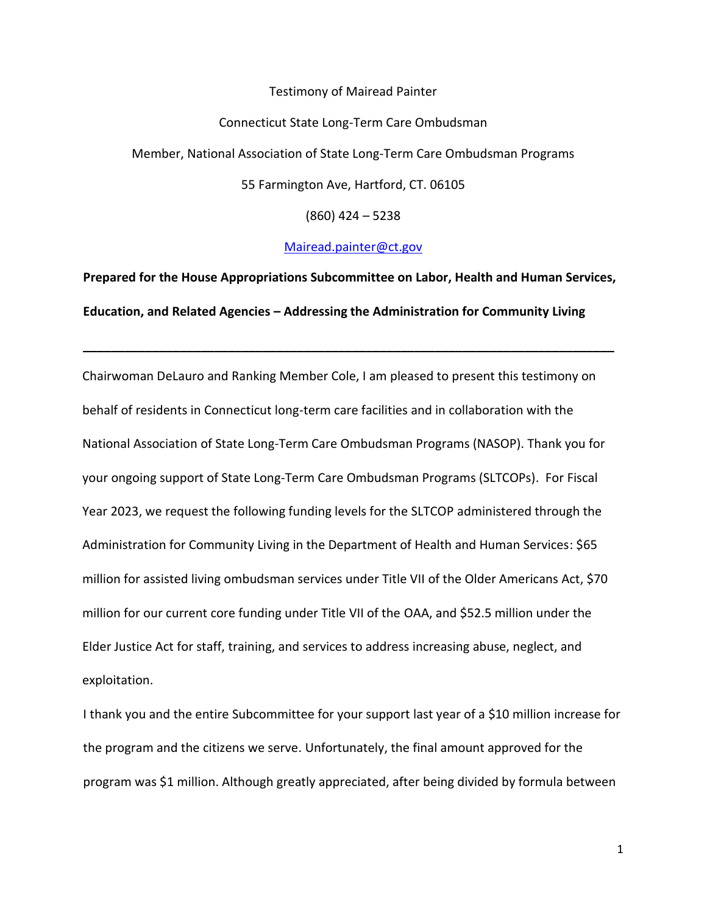## Testimony of Mairead Painter

## Connecticut State Long-Term Care Ombudsman

Member, National Association of State Long-Term Care Ombudsman Programs

55 Farmington Ave, Hartford, CT. 06105

(860) 424 – 5238

[Mairead.painter@ct.gov](mailto:Mairead.painter@ct.gov)

**Prepared for the House Appropriations Subcommittee on Labor, Health and Human Services, Education, and Related Agencies – Addressing the Administration for Community Living**

**\_\_\_\_\_\_\_\_\_\_\_\_\_\_\_\_\_\_\_\_\_\_\_\_\_\_\_\_\_\_\_\_\_\_\_\_\_\_\_\_\_\_\_\_\_\_\_\_\_\_\_\_\_\_\_\_\_\_\_\_\_\_\_\_\_\_\_\_\_\_\_\_\_\_\_\_\_**

Chairwoman DeLauro and Ranking Member Cole, I am pleased to present this testimony on behalf of residents in Connecticut long-term care facilities and in collaboration with the National Association of State Long-Term Care Ombudsman Programs (NASOP). Thank you for your ongoing support of State Long-Term Care Ombudsman Programs (SLTCOPs). For Fiscal Year 2023, we request the following funding levels for the SLTCOP administered through the Administration for Community Living in the Department of Health and Human Services: \$65 million for assisted living ombudsman services under Title VII of the Older Americans Act, \$70 million for our current core funding under Title VII of the OAA, and \$52.5 million under the Elder Justice Act for staff, training, and services to address increasing abuse, neglect, and exploitation.

I thank you and the entire Subcommittee for your support last year of a \$10 million increase for the program and the citizens we serve. Unfortunately, the final amount approved for the program was \$1 million. Although greatly appreciated, after being divided by formula between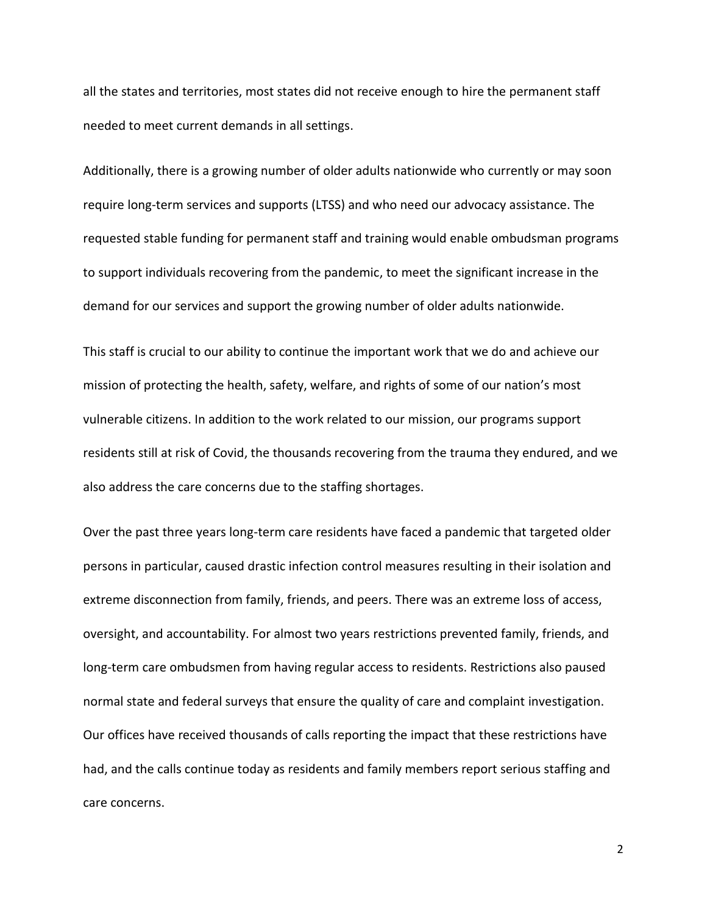all the states and territories, most states did not receive enough to hire the permanent staff needed to meet current demands in all settings.

Additionally, there is a growing number of older adults nationwide who currently or may soon require long-term services and supports (LTSS) and who need our advocacy assistance. The requested stable funding for permanent staff and training would enable ombudsman programs to support individuals recovering from the pandemic, to meet the significant increase in the demand for our services and support the growing number of older adults nationwide.

This staff is crucial to our ability to continue the important work that we do and achieve our mission of protecting the health, safety, welfare, and rights of some of our nation's most vulnerable citizens. In addition to the work related to our mission, our programs support residents still at risk of Covid, the thousands recovering from the trauma they endured, and we also address the care concerns due to the staffing shortages.

Over the past three years long-term care residents have faced a pandemic that targeted older persons in particular, caused drastic infection control measures resulting in their isolation and extreme disconnection from family, friends, and peers. There was an extreme loss of access, oversight, and accountability. For almost two years restrictions prevented family, friends, and long-term care ombudsmen from having regular access to residents. Restrictions also paused normal state and federal surveys that ensure the quality of care and complaint investigation. Our offices have received thousands of calls reporting the impact that these restrictions have had, and the calls continue today as residents and family members report serious staffing and care concerns.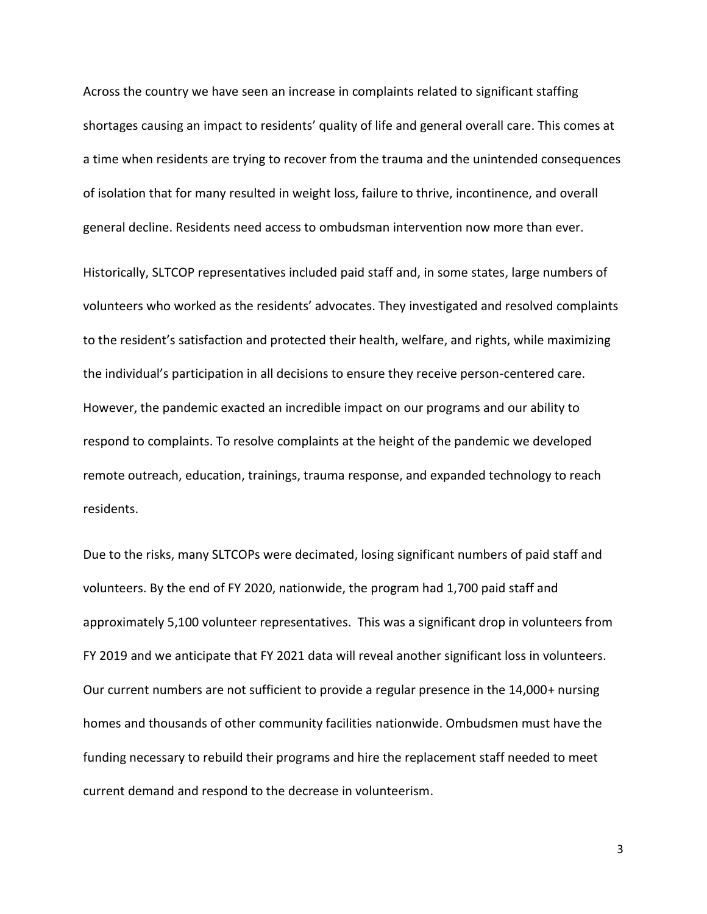Across the country we have seen an increase in complaints related to significant staffing shortages causing an impact to residents' quality of life and general overall care. This comes at a time when residents are trying to recover from the trauma and the unintended consequences of isolation that for many resulted in weight loss, failure to thrive, incontinence, and overall general decline. Residents need access to ombudsman intervention now more than ever.

Historically, SLTCOP representatives included paid staff and, in some states, large numbers of volunteers who worked as the residents' advocates. They investigated and resolved complaints to the resident's satisfaction and protected their health, welfare, and rights, while maximizing the individual's participation in all decisions to ensure they receive person-centered care. However, the pandemic exacted an incredible impact on our programs and our ability to respond to complaints. To resolve complaints at the height of the pandemic we developed remote outreach, education, trainings, trauma response, and expanded technology to reach residents.

Due to the risks, many SLTCOPs were decimated, losing significant numbers of paid staff and volunteers. By the end of FY 2020, nationwide, the program had 1,700 paid staff and approximately 5,100 volunteer representatives. This was a significant drop in volunteers from FY 2019 and we anticipate that FY 2021 data will reveal another significant loss in volunteers. Our current numbers are not sufficient to provide a regular presence in the 14,000+ nursing homes and thousands of other community facilities nationwide. Ombudsmen must have the funding necessary to rebuild their programs and hire the replacement staff needed to meet current demand and respond to the decrease in volunteerism.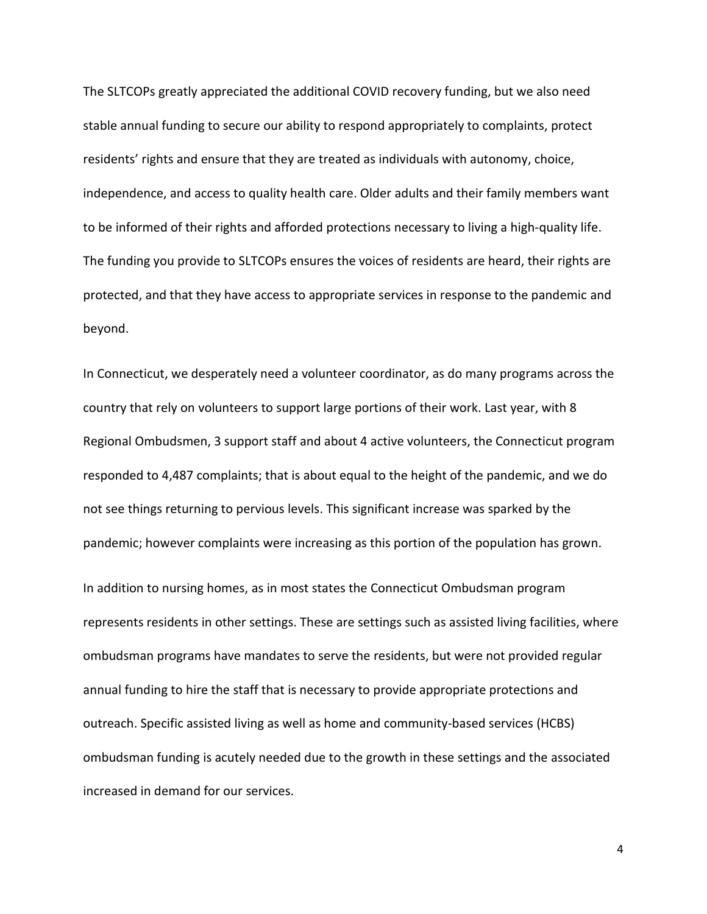The SLTCOPs greatly appreciated the additional COVID recovery funding, but we also need stable annual funding to secure our ability to respond appropriately to complaints, protect residents' rights and ensure that they are treated as individuals with autonomy, choice, independence, and access to quality health care. Older adults and their family members want to be informed of their rights and afforded protections necessary to living a high-quality life. The funding you provide to SLTCOPs ensures the voices of residents are heard, their rights are protected, and that they have access to appropriate services in response to the pandemic and beyond.

In Connecticut, we desperately need a volunteer coordinator, as do many programs across the country that rely on volunteers to support large portions of their work. Last year, with 8 Regional Ombudsmen, 3 support staff and about 4 active volunteers, the Connecticut program responded to 4,487 complaints; that is about equal to the height of the pandemic, and we do not see things returning to pervious levels. This significant increase was sparked by the pandemic; however complaints were increasing as this portion of the population has grown.

In addition to nursing homes, as in most states the Connecticut Ombudsman program represents residents in other settings. These are settings such as assisted living facilities, where ombudsman programs have mandates to serve the residents, but were not provided regular annual funding to hire the staff that is necessary to provide appropriate protections and outreach. Specific assisted living as well as home and community-based services (HCBS) ombudsman funding is acutely needed due to the growth in these settings and the associated increased in demand for our services.